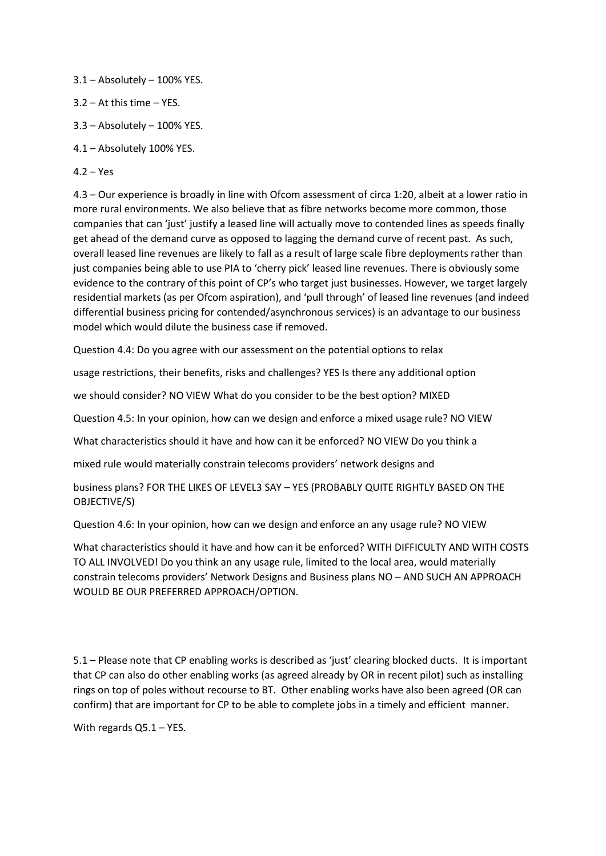3.1 – Absolutely – 100% YES.

- 3.2 At this time YES.
- 3.3 Absolutely 100% YES.
- 4.1 Absolutely 100% YES.
- $4.2 Yes$

4.3 – Our experience is broadly in line with Ofcom assessment of circa 1:20, albeit at a lower ratio in more rural environments. We also believe that as fibre networks become more common, those companies that can 'just' justify a leased line will actually move to contended lines as speeds finally get ahead of the demand curve as opposed to lagging the demand curve of recent past. As such, overall leased line revenues are likely to fall as a result of large scale fibre deployments rather than just companies being able to use PIA to 'cherry pick' leased line revenues. There is obviously some evidence to the contrary of this point of CP's who target just businesses. However, we target largely residential markets (as per Ofcom aspiration), and 'pull through' of leased line revenues (and indeed differential business pricing for contended/asynchronous services) is an advantage to our business model which would dilute the business case if removed.

Question 4.4: Do you agree with our assessment on the potential options to relax

usage restrictions, their benefits, risks and challenges? YES Is there any additional option

we should consider? NO VIEW What do you consider to be the best option? MIXED

Question 4.5: In your opinion, how can we design and enforce a mixed usage rule? NO VIEW

What characteristics should it have and how can it be enforced? NO VIEW Do you think a

mixed rule would materially constrain telecoms providers' network designs and

business plans? FOR THE LIKES OF LEVEL3 SAY – YES (PROBABLY QUITE RIGHTLY BASED ON THE OBJECTIVE/S)

Question 4.6: In your opinion, how can we design and enforce an any usage rule? NO VIEW

What characteristics should it have and how can it be enforced? WITH DIFFICULTY AND WITH COSTS TO ALL INVOLVED! Do you think an any usage rule, limited to the local area, would materially constrain telecoms providers' Network Designs and Business plans NO – AND SUCH AN APPROACH WOULD BE OUR PREFERRED APPROACH/OPTION.

5.1 – Please note that CP enabling works is described as 'just' clearing blocked ducts. It is important that CP can also do other enabling works (as agreed already by OR in recent pilot) such as installing rings on top of poles without recourse to BT. Other enabling works have also been agreed (OR can confirm) that are important for CP to be able to complete jobs in a timely and efficient manner.

With regards Q5.1 – YES.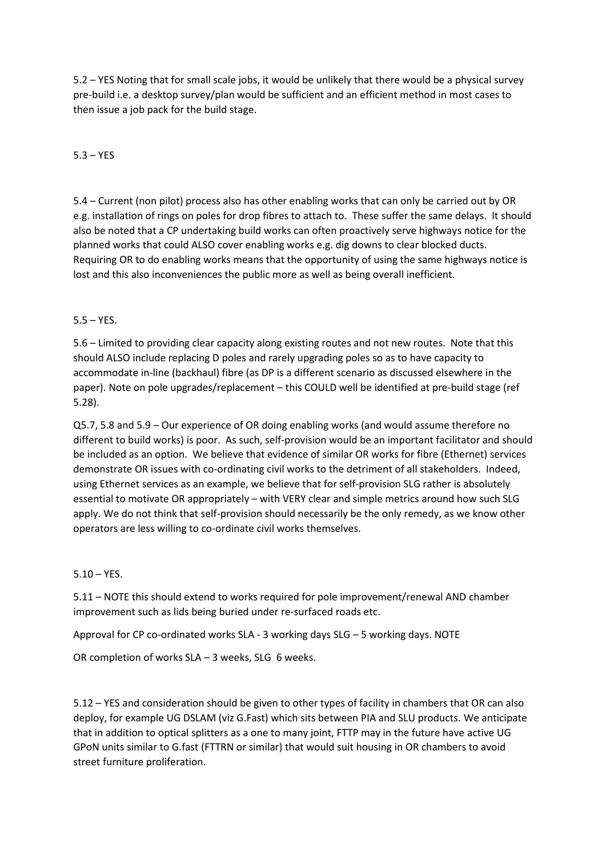5.2 – YES Noting that for small scale jobs, it would be unlikely that there would be a physical survey pre-build i.e. a desktop survey/plan would be sufficient and an efficient method in most cases to then issue a job pack for the build stage.

 $5.3 - YFS$ 

5.4 – Current (non pilot) process also has other enabling works that can only be carried out by OR e.g. installation of rings on poles for drop fibres to attach to. These suffer the same delays. It should also be noted that a CP undertaking build works can often proactively serve highways notice for the planned works that could ALSO cover enabling works e.g. dig downs to clear blocked ducts. Requiring OR to do enabling works means that the opportunity of using the same highways notice is lost and this also inconveniences the public more as well as being overall inefficient.

5.5 – YES.

5.6 – Limited to providing clear capacity along existing routes and not new routes. Note that this should ALSO include replacing D poles and rarely upgrading poles so as to have capacity to accommodate in-line (backhaul) fibre (as DP is a different scenario as discussed elsewhere in the paper). Note on pole upgrades/replacement – this COULD well be identified at pre-build stage (ref 5.28).

Q5.7, 5.8 and 5.9 – Our experience of OR doing enabling works (and would assume therefore no different to build works) is poor. As such, self-provision would be an important facilitator and should be included as an option. We believe that evidence of similar OR works for fibre (Ethernet) services demonstrate OR issues with co-ordinating civil works to the detriment of all stakeholders. Indeed, using Ethernet services as an example, we believe that for self-provision SLG rather is absolutely essential to motivate OR appropriately – with VERY clear and simple metrics around how such SLG apply. We do not think that self-provision should necessarily be the only remedy, as we know other operators are less willing to co-ordinate civil works themselves.

 $5.10 - YES$ .

5.11 – NOTE this should extend to works required for pole improvement/renewal AND chamber improvement such as lids being buried under re-surfaced roads etc.

Approval for CP co-ordinated works SLA - 3 working days SLG – 5 working days. NOTE

OR completion of works SLA – 3 weeks, SLG 6 weeks.

5.12 – YES and consideration should be given to other types of facility in chambers that OR can also deploy, for example UG DSLAM (viz G.Fast) which sits between PIA and SLU products. We anticipate that in addition to optical splitters as a one to many joint, FTTP may in the future have active UG GPoN units similar to G.fast (FTTRN or similar) that would suit housing in OR chambers to avoid street furniture proliferation.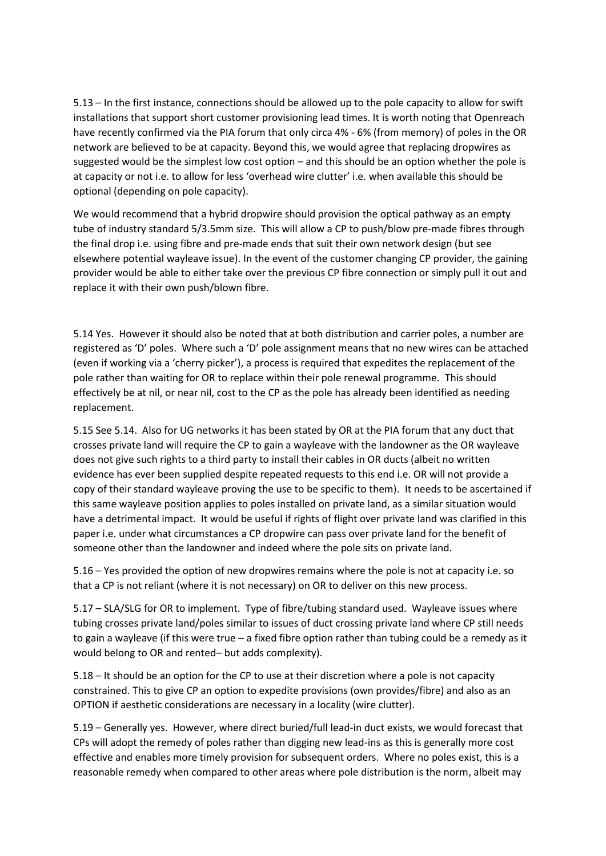5.13 – In the first instance, connections should be allowed up to the pole capacity to allow for swift installations that support short customer provisioning lead times. It is worth noting that Openreach have recently confirmed via the PIA forum that only circa 4% - 6% (from memory) of poles in the OR network are believed to be at capacity. Beyond this, we would agree that replacing dropwires as suggested would be the simplest low cost option – and this should be an option whether the pole is at capacity or not i.e. to allow for less 'overhead wire clutter' i.e. when available this should be optional (depending on pole capacity).

We would recommend that a hybrid dropwire should provision the optical pathway as an empty tube of industry standard 5/3.5mm size. This will allow a CP to push/blow pre-made fibres through the final drop i.e. using fibre and pre-made ends that suit their own network design (but see elsewhere potential wayleave issue). In the event of the customer changing CP provider, the gaining provider would be able to either take over the previous CP fibre connection or simply pull it out and replace it with their own push/blown fibre.

5.14 Yes. However it should also be noted that at both distribution and carrier poles, a number are registered as 'D' poles. Where such a 'D' pole assignment means that no new wires can be attached (even if working via a 'cherry picker'), a process is required that expedites the replacement of the pole rather than waiting for OR to replace within their pole renewal programme. This should effectively be at nil, or near nil, cost to the CP as the pole has already been identified as needing replacement.

5.15 See 5.14. Also for UG networks it has been stated by OR at the PIA forum that any duct that crosses private land will require the CP to gain a wayleave with the landowner as the OR wayleave does not give such rights to a third party to install their cables in OR ducts (albeit no written evidence has ever been supplied despite repeated requests to this end i.e. OR will not provide a copy of their standard wayleave proving the use to be specific to them). It needs to be ascertained if this same wayleave position applies to poles installed on private land, as a similar situation would have a detrimental impact. It would be useful if rights of flight over private land was clarified in this paper i.e. under what circumstances a CP dropwire can pass over private land for the benefit of someone other than the landowner and indeed where the pole sits on private land.

5.16 – Yes provided the option of new dropwires remains where the pole is not at capacity i.e. so that a CP is not reliant (where it is not necessary) on OR to deliver on this new process.

5.17 – SLA/SLG for OR to implement. Type of fibre/tubing standard used. Wayleave issues where tubing crosses private land/poles similar to issues of duct crossing private land where CP still needs to gain a wayleave (if this were true – a fixed fibre option rather than tubing could be a remedy as it would belong to OR and rented– but adds complexity).

5.18 – It should be an option for the CP to use at their discretion where a pole is not capacity constrained. This to give CP an option to expedite provisions (own provides/fibre) and also as an OPTION if aesthetic considerations are necessary in a locality (wire clutter).

5.19 – Generally yes. However, where direct buried/full lead-in duct exists, we would forecast that CPs will adopt the remedy of poles rather than digging new lead-ins as this is generally more cost effective and enables more timely provision for subsequent orders. Where no poles exist, this is a reasonable remedy when compared to other areas where pole distribution is the norm, albeit may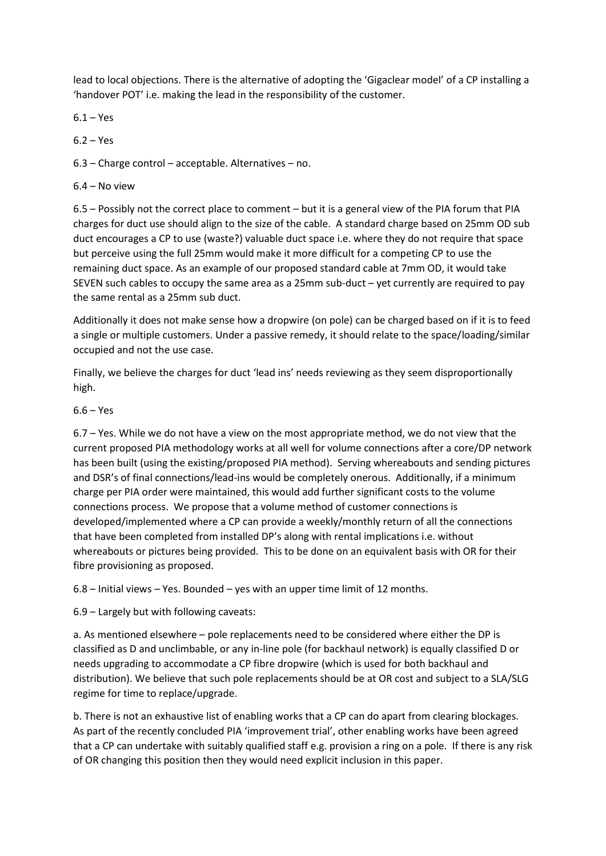lead to local objections. There is the alternative of adopting the 'Gigaclear model' of a CP installing a 'handover POT' i.e. making the lead in the responsibility of the customer.

 $6.1 - Yes$ 

 $6.2 - Yes$ 

6.3 – Charge control – acceptable. Alternatives – no.

6.4 – No view

6.5 – Possibly not the correct place to comment – but it is a general view of the PIA forum that PIA charges for duct use should align to the size of the cable. A standard charge based on 25mm OD sub duct encourages a CP to use (waste?) valuable duct space i.e. where they do not require that space but perceive using the full 25mm would make it more difficult for a competing CP to use the remaining duct space. As an example of our proposed standard cable at 7mm OD, it would take SEVEN such cables to occupy the same area as a 25mm sub-duct – yet currently are required to pay the same rental as a 25mm sub duct.

Additionally it does not make sense how a dropwire (on pole) can be charged based on if it is to feed a single or multiple customers. Under a passive remedy, it should relate to the space/loading/similar occupied and not the use case.

Finally, we believe the charges for duct 'lead ins' needs reviewing as they seem disproportionally high.

## $6.6 - Yes$

6.7 – Yes. While we do not have a view on the most appropriate method, we do not view that the current proposed PIA methodology works at all well for volume connections after a core/DP network has been built (using the existing/proposed PIA method). Serving whereabouts and sending pictures and DSR's of final connections/lead-ins would be completely onerous. Additionally, if a minimum charge per PIA order were maintained, this would add further significant costs to the volume connections process. We propose that a volume method of customer connections is developed/implemented where a CP can provide a weekly/monthly return of all the connections that have been completed from installed DP's along with rental implications i.e. without whereabouts or pictures being provided. This to be done on an equivalent basis with OR for their fibre provisioning as proposed.

6.8 – Initial views – Yes. Bounded – yes with an upper time limit of 12 months.

6.9 – Largely but with following caveats:

a. As mentioned elsewhere – pole replacements need to be considered where either the DP is classified as D and unclimbable, or any in-line pole (for backhaul network) is equally classified D or needs upgrading to accommodate a CP fibre dropwire (which is used for both backhaul and distribution). We believe that such pole replacements should be at OR cost and subject to a SLA/SLG regime for time to replace/upgrade.

b. There is not an exhaustive list of enabling works that a CP can do apart from clearing blockages. As part of the recently concluded PIA 'improvement trial', other enabling works have been agreed that a CP can undertake with suitably qualified staff e.g. provision a ring on a pole. If there is any risk of OR changing this position then they would need explicit inclusion in this paper.